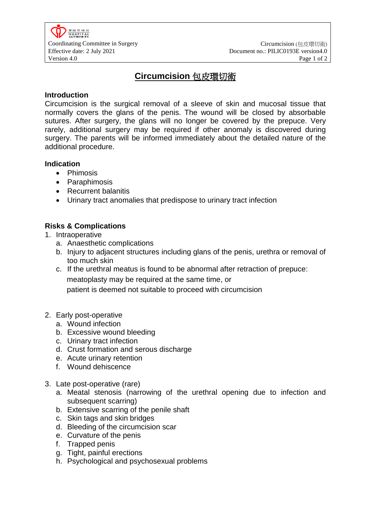# **Circumcision** 包皮環切術

### **Introduction**

Circumcision is the surgical removal of a sleeve of skin and mucosal tissue that normally covers the glans of the penis. The wound will be closed by absorbable sutures. After surgery, the glans will no longer be covered by the prepuce. Very rarely, additional surgery may be required if other anomaly is discovered during surgery. The parents will be informed immediately about the detailed nature of the additional procedure.

#### **Indication**

• Phimosis

- Paraphimosis
- Recurrent balanitis
- Urinary tract anomalies that predispose to urinary tract infection

## **Risks & Complications**

- 1. Intraoperative
	- a. Anaesthetic complications
	- b. Injury to adjacent structures including glans of the penis, urethra or removal of too much skin
	- c. If the urethral meatus is found to be abnormal after retraction of prepuce: meatoplasty may be required at the same time, or patient is deemed not suitable to proceed with circumcision
- 2. Early post-operative
	- a. Wound infection
	- b. Excessive wound bleeding
	- c. Urinary tract infection
	- d. Crust formation and serous discharge
	- e. Acute urinary retention
	- f. Wound dehiscence
- 3. Late post-operative (rare)
	- a. Meatal stenosis (narrowing of the urethral opening due to infection and subsequent scarring)
	- b. Extensive scarring of the penile shaft
	- c. Skin tags and skin bridges
	- d. Bleeding of the circumcision scar
	- e. Curvature of the penis
	- f. Trapped penis
	- g. Tight, painful erections
	- h. Psychological and psychosexual problems